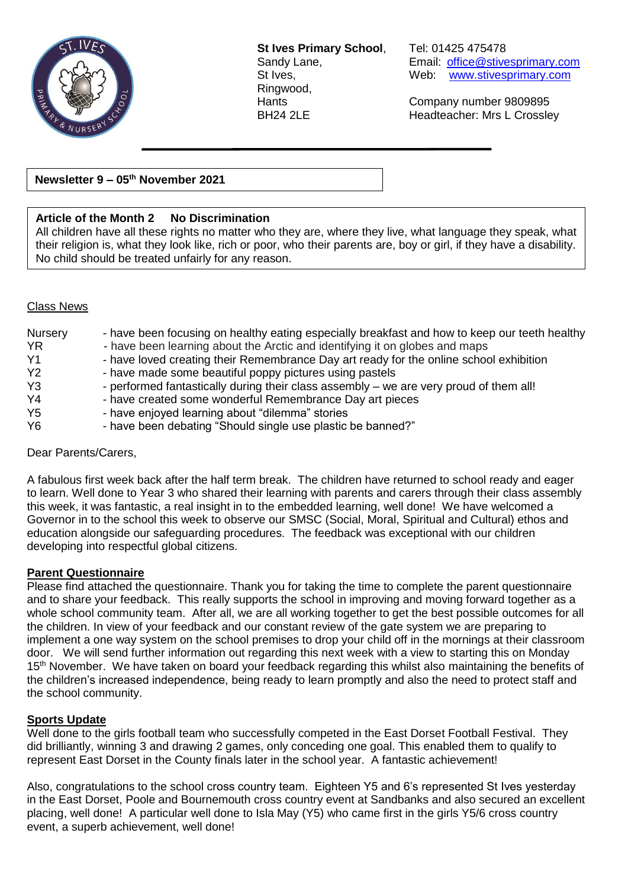

**St Ives Primary School**, Tel: 01425 475478 Ringwood,

Sandy Lane, **Email:** [office@stivesprimary.com](mailto:office@stivesprimary.com) St Ives, Web: [www.stivesprimary.com](http://www.stives.dorset.sch.uk/)

Hants Company number 9809895 BH24 2LE Headteacher: Mrs L Crossley

## **Newsletter 9 – 05th November 2021**

## **Article of the Month 2 No Discrimination**

All children have all these rights no matter who they are, where they live, what language they speak, what their religion is, what they look like, rich or poor, who their parents are, boy or girl, if they have a disability. No child should be treated unfairly for any reason.

#### Class News

| <b>Nursery</b> | - have been focusing on healthy eating especially breakfast and how to keep our teeth healthy |
|----------------|-----------------------------------------------------------------------------------------------|
| <b>YR</b>      | - have been learning about the Arctic and identifying it on globes and maps                   |
| Y <sub>1</sub> | - have loved creating their Remembrance Day art ready for the online school exhibition        |
| Y2             | - have made some beautiful poppy pictures using pastels                                       |
| Y <sub>3</sub> | - performed fantastically during their class assembly – we are very proud of them all!        |
| Y4             | - have created some wonderful Remembrance Day art pieces                                      |
| Y <sub>5</sub> | - have enjoyed learning about "dilemma" stories                                               |
| Y6             | - have been debating "Should single use plastic be banned?"                                   |

Dear Parents/Carers,

A fabulous first week back after the half term break. The children have returned to school ready and eager to learn. Well done to Year 3 who shared their learning with parents and carers through their class assembly this week, it was fantastic, a real insight in to the embedded learning, well done! We have welcomed a Governor in to the school this week to observe our SMSC (Social, Moral, Spiritual and Cultural) ethos and education alongside our safeguarding procedures. The feedback was exceptional with our children developing into respectful global citizens.

### **Parent Questionnaire**

Please find attached the questionnaire. Thank you for taking the time to complete the parent questionnaire and to share your feedback. This really supports the school in improving and moving forward together as a whole school community team. After all, we are all working together to get the best possible outcomes for all the children. In view of your feedback and our constant review of the gate system we are preparing to implement a one way system on the school premises to drop your child off in the mornings at their classroom door. We will send further information out regarding this next week with a view to starting this on Monday 15<sup>th</sup> November. We have taken on board your feedback regarding this whilst also maintaining the benefits of the children's increased independence, being ready to learn promptly and also the need to protect staff and the school community.

### **Sports Update**

Well done to the girls football team who successfully competed in the East Dorset Football Festival. They did brilliantly, winning 3 and drawing 2 games, only conceding one goal. This enabled them to qualify to represent East Dorset in the County finals later in the school year. A fantastic achievement!

Also, congratulations to the school cross country team. Eighteen Y5 and 6's represented St Ives yesterday in the East Dorset, Poole and Bournemouth cross country event at Sandbanks and also secured an excellent placing, well done! A particular well done to Isla May (Y5) who came first in the girls Y5/6 cross country event, a superb achievement, well done!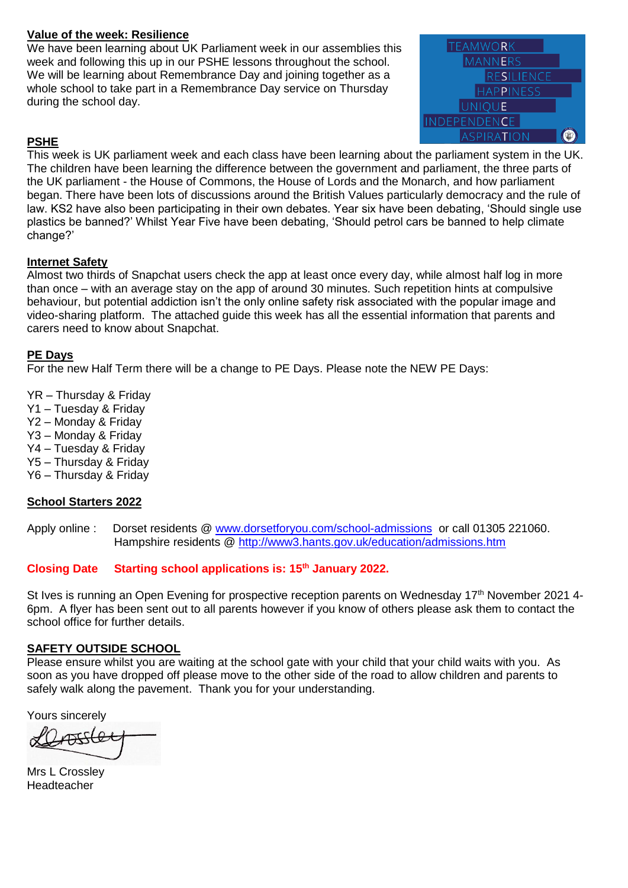## **Value of the week: Resilience**

We have been learning about UK Parliament week in our assemblies this week and following this up in our PSHE lessons throughout the school. We will be learning about Remembrance Day and joining together as a whole school to take part in a Remembrance Day service on Thursday during the school day.



## **PSHE**

This week is UK parliament week and each class have been learning about the parliament system in the UK. The children have been learning the difference between the government and parliament, the three parts of the UK parliament - the House of Commons, the House of Lords and the Monarch, and how parliament began. There have been lots of discussions around the British Values particularly democracy and the rule of law. KS2 have also been participating in their own debates. Year six have been debating, 'Should single use plastics be banned?' Whilst Year Five have been debating, 'Should petrol cars be banned to help climate change?'

## **Internet Safety**

Almost two thirds of Snapchat users check the app at least once every day, while almost half log in more than once – with an average stay on the app of around 30 minutes. Such repetition hints at compulsive behaviour, but potential addiction isn't the only online safety risk associated with the popular image and video-sharing platform. The attached guide this week has all the essential information that parents and carers need to know about Snapchat.

### **PE Days**

For the new Half Term there will be a change to PE Days. Please note the NEW PE Days:

YR – Thursday & Friday

- Y1 Tuesday & Friday
- Y2 Monday & Friday
- Y3 Monday & Friday
- Y4 Tuesday & Friday
- Y5 Thursday & Friday
- Y6 Thursday & Friday

## **School Starters 2022**

Apply online : Dorset residents @ [www.dorsetforyou.com/school-admissions](http://www.dorsetforyou.com/school-admissions) or call 01305 221060. Hampshire residents @<http://www3.hants.gov.uk/education/admissions.htm>

### **Closing Date Starting school applications is: 15th January 2022.**

St Ives is running an Open Evening for prospective reception parents on Wednesday 17<sup>th</sup> November 2021 4-6pm. A flyer has been sent out to all parents however if you know of others please ask them to contact the school office for further details.

### **SAFETY OUTSIDE SCHOOL**

Please ensure whilst you are waiting at the school gate with your child that your child waits with you. As soon as you have dropped off please move to the other side of the road to allow children and parents to safely walk along the pavement. Thank you for your understanding.

Yours sincerely

Mrs L Crossley Headteacher